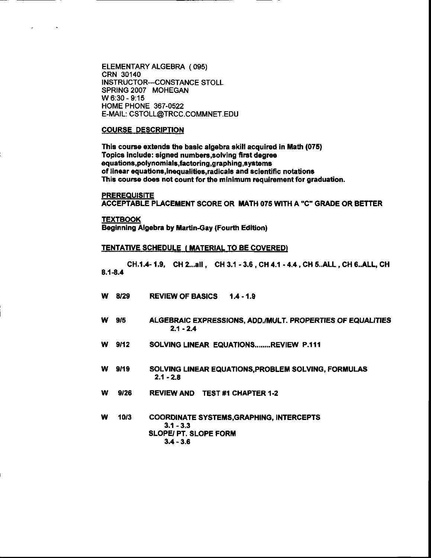ELEMENTARY ALGEBRA (095) CRN 30140 INSTRUCTOR---CONSTANCE STOLL SPRING 2007 MOHEGAN W 6:30 - 9:15 HOME PHONE 367-0522 E-MAIL: CSTOLL@TRCC.COMMNET.EDU

#### **COURSE DESCRIPTION**

This course extends the basic algebra skill acquired in Math (075) Topics include: signed numbers, solving first degree equations, polynomials, factoring, graphing, systems of linear equations, inequalities, radicals and scientific notations This course does not count for the minimum requirement for graduation.

**PREREQUISITE** 

 $\sim$ 

ACCEPTABLE PLACEMENT SCORE OR MATH 075 WITH A "C" GRADE OR BETTER

**TEXTBOOK Beginning Algebra by Martin-Gay (Fourth Edition)** 

#### **TENTATIVE SCHEDULE ( MATERIAL TO BE COVERED)**

CH.1.4-1.9, CH 2...all, CH 3.1 - 3.6, CH 4.1 - 4.4, CH 5..ALL, CH 6..ALL, CH  $8.1 - 8.4$ 

- W 8/29 **REVIEW OF BASICS**  $1.4 - 1.9$
- ALGEBRAIC EXPRESSIONS, ADD./MULT. PROPERTIES OF EQUALITIES w  $9/5$  $2.1 - 2.4$
- W  $9/12$ SOLVING LINEAR EQUATIONS.......REVIEW P.111
- W  $9/19$ SOLVING LINEAR EQUATIONS, PROBLEM SOLVING, FORMULAS  $2.1 - 2.8$
- w 9/26 **REVIEW AND TEST #1 CHAPTER 1-2**
- w  $10/3$ **COORDINATE SYSTEMS, GRAPHING, INTERCEPTS**  $3.1 - 3.3$ SLOPE/ PT. SLOPE FORM  $3.4 - 3.6$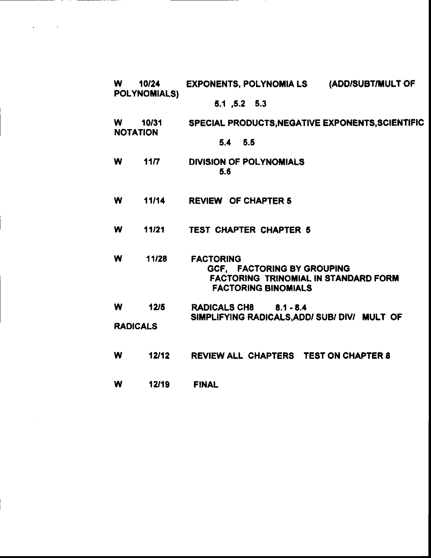| <b>W</b>                       | 10/24<br>POLYNOMIALS) | (ADD/SUBT/MULT OF<br>EXPONENTS, POLYNOMIA LS                                                                                |
|--------------------------------|-----------------------|-----------------------------------------------------------------------------------------------------------------------------|
|                                |                       | 5.1, 5.2, 5.3                                                                                                               |
| W.<br>10/31<br><b>NOTATION</b> |                       | SPECIAL PRODUCTS, NEGATIVE EXPONENTS, SCIENTIFIC                                                                            |
|                                |                       | $5.4$ $5.5$                                                                                                                 |
| W                              | 11/7                  | <b>DIVISION OF POLYNOMIALS</b><br>5.6                                                                                       |
| W                              | 11/14                 | <b>REVIEW OF CHAPTER 5</b>                                                                                                  |
| W                              | 11/21                 | <b>TEST CHAPTER CHAPTER 5</b>                                                                                               |
| W                              | 11/28                 | <b>FACTORING</b><br>GCF, FACTORING BY GROUPING<br><b>FACTORING TRINOMIAL IN STANDARD FORM</b><br><b>FACTORING BINOMIALS</b> |
| W                              | 12/5                  | RADICALS CH8 8.1 - 8.4<br>SIMPLIFYING RADICALS, ADD/ SUB/ DIV/ MULT OF                                                      |
| <b>RADICALS</b>                |                       |                                                                                                                             |
| W                              | 12/12                 | <b>REVIEW ALL CHAPTERS TEST ON CHAPTER 8</b>                                                                                |
| W                              | 12/19                 | <b>FINAL</b>                                                                                                                |

 $\label{eq:1} \mathbf{v}^{(1)} = \mathbf{v}^{(1)} + \mathbf{v}^{(2)} + \mathbf{v}^{(3)} + \mathbf{v}^{(4)} + \mathbf{v}^{(5)}$ 

 $\mathcal{L}(\mathcal{A})$  and  $\mathcal{L}(\mathcal{A})$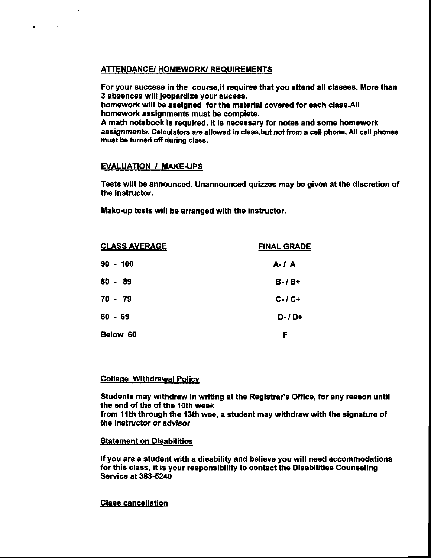# **ATTENDANCE/ HOMEWORK/ REQUIREMENTS**

For your success in the course, it requires that you attend all classes. More than 3 absences will jeopardize your sucess.

homework will be assigned for the material covered for each class.All homework assignments must be complete.

A math notebook is required. It is necessary for notes and some homework assignments. Calculators are allowed in class but not from a cell phone. All cell phones must be turned off during class.

# **EVALUATION / MAKE-UPS**

 $\mathcal{A}$ 

 $\bullet$ 

Tests will be announced. Unannounced quizzes may be given at the discretion of the instructor.

Make-up tests will be arranged with the instructor.

| <b>CLASS AVERAGE</b> | <b>FINAL GRADE</b> |  |
|----------------------|--------------------|--|
| $90 - 100$           | $A - I$ $A$        |  |
| $80 - 89$            | $B - / B +$        |  |
| $70 - 79$            | $C-I$ $C+$         |  |
| $60 - 69$            | $D - I +$          |  |
| Below 60             | F                  |  |

# **College Withdrawal Policy**

Students may withdraw in writing at the Registrar's Office, for any reason until the end of the of the 10th week

from 11th through the 13th wee, a student may withdraw with the signature of the instructor or advisor

### **Statement on Disabilities**

If you are a student with a disability and believe you will need accommodations for this class, it is your responsibility to contact the Disabilities Counseling **Service at 383-5240** 

### **Class cancellation**